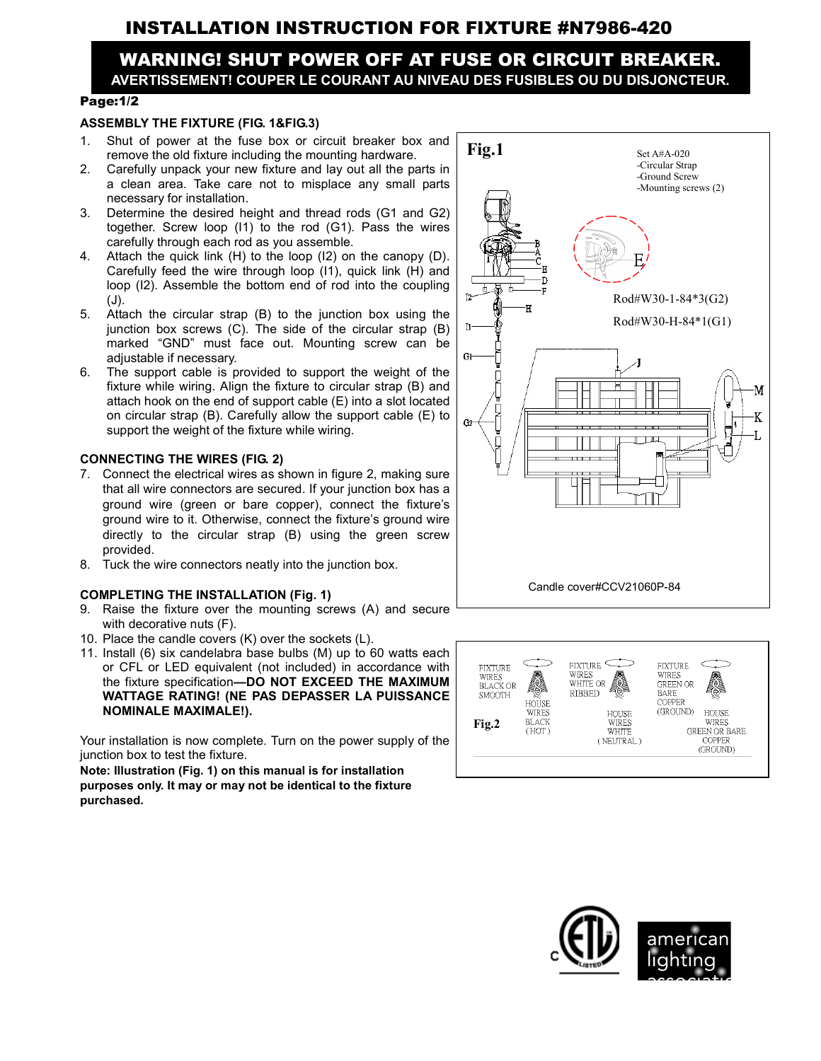# INSTALLATION INSTRUCTION FOR FIXTURE #N7986-420

# WARNING! SHUT POWER OFF AT FUSE OR CIRCUIT BREAKER. AVERTISSEMENT! COUPER LE COURANT AU NIVEAU DES FUSIBLES OU DU DISJONCTEUR.

#### Page:1/2

## ASSEMBLY THE FIXTURE (FIG. 1&FIG.3)

- 1. Shut of power at the fuse box or circuit breaker box and remove the old fixture including the mounting hardware.
- 2. Carefully unpack your new fixture and lay out all the parts in a clean area. Take care not to misplace any small parts necessary for installation.
- 3. Determine the desired height and thread rods (G1 and G2) together. Screw loop (I1) to the rod (G1). Pass the wires carefully through each rod as you assemble.
- 4. Attach the quick link (H) to the loop (I2) on the canopy (D). Carefully feed the wire through loop (I1), quick link (H) and loop (I2). Assemble the bottom end of rod into the coupling (J).
- 5. Attach the circular strap (B) to the junction box using the junction box screws (C). The side of the circular strap (B) marked "GND" must face out. Mounting screw can be adjustable if necessary.
- 6. The support cable is provided to support the weight of the fixture while wiring. Align the fixture to circular strap (B) and attach hook on the end of support cable (E) into a slot located on circular strap (B). Carefully allow the support cable (E) to support the weight of the fixture while wiring.

### CONNECTING THE WIRES (FIG. 2)

- 7. Connect the electrical wires as shown in figure 2, making sure that all wire connectors are secured. If your junction box has a ground wire (green or bare copper), connect the fixture's ground wire to it. Otherwise, connect the fixture's ground wire directly to the circular strap (B) using the green screw provided.
- 8. Tuck the wire connectors neatly into the junction box.

### COMPLETING THE INSTALLATION (Fig. 1)

- 9. Raise the fixture over the mounting screws (A) and secure with decorative nuts (F).
- 10. Place the candle covers (K) over the sockets (L).
- 11. Install (6) six candelabra base bulbs (M) up to 60 watts each or CFL or LED equivalent (not included) in accordance with the fixture specification—DO NOT EXCEED THE MAXIMUM WATTAGE RATING! (NE PAS DEPASSER LA PUISSANCE NOMINALE MAXIMALE!).

Your installation is now complete. Turn on the power supply of the junction box to test the fixture.

Note: Illustration (Fig. 1) on this manual is for installation purposes only. It may or may not be identical to the fixture purchased.